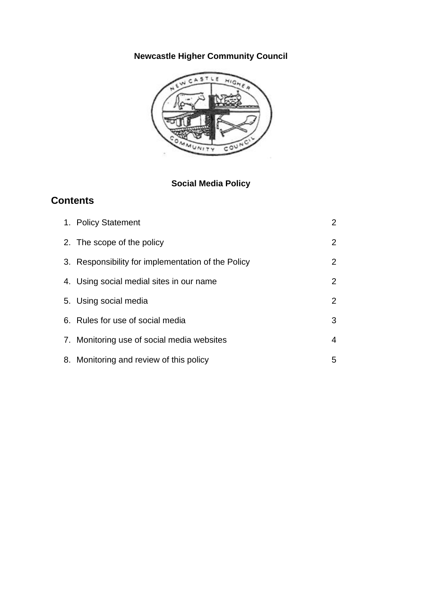# **Newcastle Higher Community Council**



## **Social Media Policy**

## **Contents**

| 1. Policy Statement                                | $\mathbf{2}^{\prime}$ |
|----------------------------------------------------|-----------------------|
| 2. The scope of the policy                         | $\overline{2}$        |
| 3. Responsibility for implementation of the Policy | $\overline{2}$        |
| 4. Using social medial sites in our name           | 2                     |
| 5. Using social media                              | $\overline{2}$        |
| 6. Rules for use of social media                   | 3                     |
| 7. Monitoring use of social media websites         | 4                     |
| 8. Monitoring and review of this policy            | 5                     |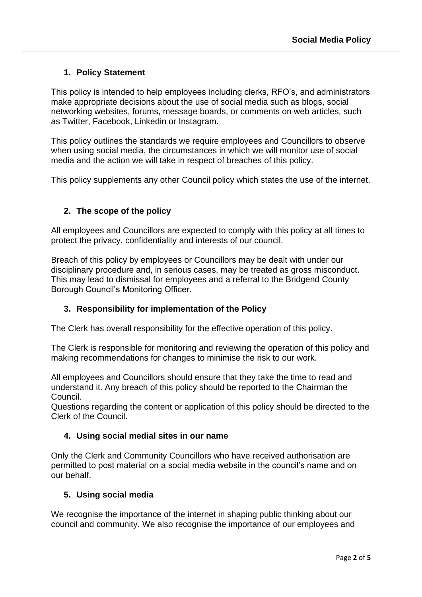## **1. Policy Statement**

This policy is intended to help employees including clerks, RFO's, and administrators make appropriate decisions about the use of social media such as blogs, social networking websites, forums, message boards, or comments on web articles, such as Twitter, Facebook, Linkedin or Instagram.

This policy outlines the standards we require employees and Councillors to observe when using social media, the circumstances in which we will monitor use of social media and the action we will take in respect of breaches of this policy.

This policy supplements any other Council policy which states the use of the internet.

## **2. The scope of the policy**

All employees and Councillors are expected to comply with this policy at all times to protect the privacy, confidentiality and interests of our council.

Breach of this policy by employees or Councillors may be dealt with under our disciplinary procedure and, in serious cases, may be treated as gross misconduct. This may lead to dismissal for employees and a referral to the Bridgend County Borough Council's Monitoring Officer.

## **3. Responsibility for implementation of the Policy**

The Clerk has overall responsibility for the effective operation of this policy.

The Clerk is responsible for monitoring and reviewing the operation of this policy and making recommendations for changes to minimise the risk to our work.

All employees and Councillors should ensure that they take the time to read and understand it. Any breach of this policy should be reported to the Chairman the Council.

Questions regarding the content or application of this policy should be directed to the Clerk of the Council.

## **4. Using social medial sites in our name**

Only the Clerk and Community Councillors who have received authorisation are permitted to post material on a social media website in the council's name and on our behalf.

## **5. Using social media**

We recognise the importance of the internet in shaping public thinking about our council and community. We also recognise the importance of our employees and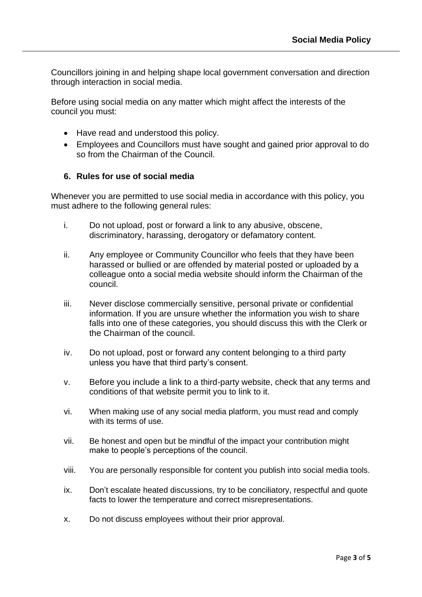Councillors joining in and helping shape local government conversation and direction through interaction in social media.

Before using social media on any matter which might affect the interests of the council you must:

- Have read and understood this policy.
- Employees and Councillors must have sought and gained prior approval to do so from the Chairman of the Council.

#### **6. Rules for use of social media**

Whenever you are permitted to use social media in accordance with this policy, you must adhere to the following general rules:

- i. Do not upload, post or forward a link to any abusive, obscene, discriminatory, harassing, derogatory or defamatory content.
- ii. Any employee or Community Councillor who feels that they have been harassed or bullied or are offended by material posted or uploaded by a colleague onto a social media website should inform the Chairman of the council.
- iii. Never disclose commercially sensitive, personal private or confidential information. If you are unsure whether the information you wish to share falls into one of these categories, you should discuss this with the Clerk or the Chairman of the council.
- iv. Do not upload, post or forward any content belonging to a third party unless you have that third party's consent.
- v. Before you include a link to a third-party website, check that any terms and conditions of that website permit you to link to it.
- vi. When making use of any social media platform, you must read and comply with its terms of use.
- vii. Be honest and open but be mindful of the impact your contribution might make to people's perceptions of the council.
- viii. You are personally responsible for content you publish into social media tools.
- ix. Don't escalate heated discussions, try to be conciliatory, respectful and quote facts to lower the temperature and correct misrepresentations.
- x. Do not discuss employees without their prior approval.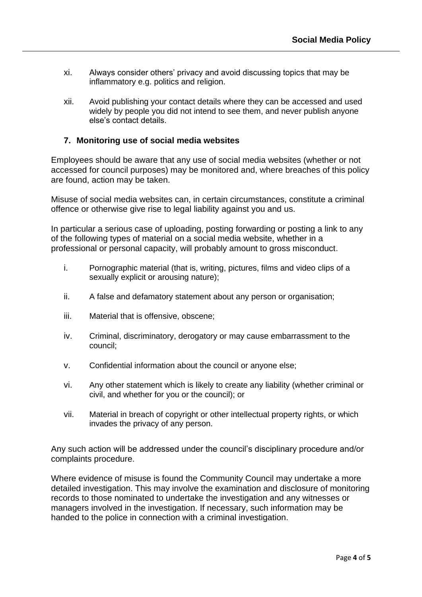- xi. Always consider others' privacy and avoid discussing topics that may be inflammatory e.g. politics and religion.
- xii. Avoid publishing your contact details where they can be accessed and used widely by people you did not intend to see them, and never publish anyone else's contact details.

#### **7. Monitoring use of social media websites**

Employees should be aware that any use of social media websites (whether or not accessed for council purposes) may be monitored and, where breaches of this policy are found, action may be taken.

Misuse of social media websites can, in certain circumstances, constitute a criminal offence or otherwise give rise to legal liability against you and us.

In particular a serious case of uploading, posting forwarding or posting a link to any of the following types of material on a social media website, whether in a professional or personal capacity, will probably amount to gross misconduct.

- i. Pornographic material (that is, writing, pictures, films and video clips of a sexually explicit or arousing nature);
- ii. A false and defamatory statement about any person or organisation;
- iii. Material that is offensive, obscene;
- iv. Criminal, discriminatory, derogatory or may cause embarrassment to the council;
- v. Confidential information about the council or anyone else;
- vi. Any other statement which is likely to create any liability (whether criminal or civil, and whether for you or the council); or
- vii. Material in breach of copyright or other intellectual property rights, or which invades the privacy of any person.

Any such action will be addressed under the council's disciplinary procedure and/or complaints procedure.

Where evidence of misuse is found the Community Council may undertake a more detailed investigation. This may involve the examination and disclosure of monitoring records to those nominated to undertake the investigation and any witnesses or managers involved in the investigation. If necessary, such information may be handed to the police in connection with a criminal investigation.